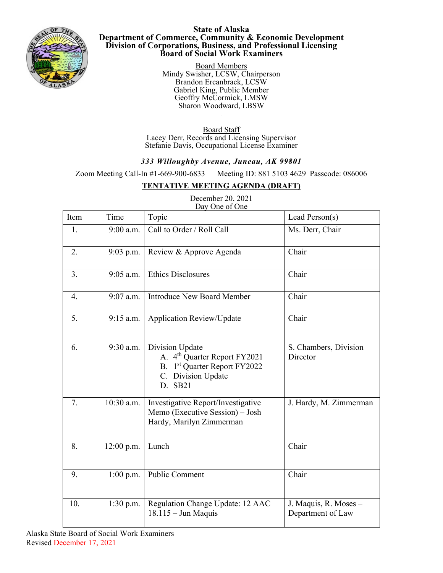

## **State of Alaska Department of Commerce, Community & Economic Development Division of Corporations, Business, and Professional Licensing Board of Social Work Examiners**

Board Members Mindy Swisher, LCSW, Chairperson Brandon Ercanbrack, LCSW Gabriel King, Public Member Geoffry McCormick, LMSW Sharon Woodward, LBSW

Board Staff Lacey Derr, Records and Licensing Supervisor Stefanie Davis, Occupational License Examiner

## *333 Willoughby Avenue, Juneau, AK 99801*

Zoom Meeting Call-In #1-669-900-6833 Meeting ID: 881 5103 4629 Passcode: 086006

## **TENTATIVE MEETING AGENDA (DRAFT)**

| Item | Time         | Topic                                                                                                                        | Lead Person(s)                             |
|------|--------------|------------------------------------------------------------------------------------------------------------------------------|--------------------------------------------|
| 1.   | $9:00$ a.m.  | Call to Order / Roll Call                                                                                                    | Ms. Derr, Chair                            |
| 2.   | $9:03$ p.m.  | Review & Approve Agenda                                                                                                      | Chair                                      |
| 3.   | $9:05$ a.m.  | <b>Ethics Disclosures</b>                                                                                                    | Chair                                      |
| 4.   | $9:07$ a.m.  | <b>Introduce New Board Member</b>                                                                                            | Chair                                      |
| 5.   | $9:15$ a.m.  | Application Review/Update                                                                                                    | Chair                                      |
| 6.   | 9:30 a.m.    | Division Update<br>A. 4 <sup>th</sup> Quarter Report FY2021<br>B. 1st Quarter Report FY2022<br>C. Division Update<br>D. SB21 | S. Chambers, Division<br>Director          |
| 7.   | $10:30$ a.m. | Investigative Report/Investigative<br>Memo (Executive Session) - Josh<br>Hardy, Marilyn Zimmerman                            | J. Hardy, M. Zimmerman                     |
| 8.   | $12:00$ p.m. | Lunch                                                                                                                        | Chair                                      |
| 9.   | $1:00$ p.m.  | <b>Public Comment</b>                                                                                                        | Chair                                      |
| 10.  | $1:30$ p.m.  | Regulation Change Update: 12 AAC<br>$18.115 -$ Jun Maquis                                                                    | J. Maquis, R. Moses -<br>Department of Law |

## December 20, 2021 Day One of One